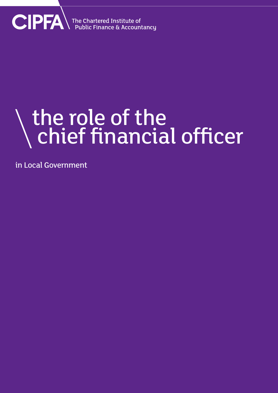

## the role of the chief financial officer

in Local Government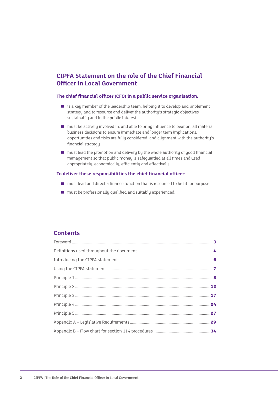#### **CIPFA Statement on the role of the Chief Financial Officer in Local Government**

#### **The chief financial officer (CFO) in a public service organisation:**

- is a key member of the leadership team, helping it to develop and implement strategy and to resource and deliver the authority's strategic objectives sustainably and in the public interest
- must be actively involved in, and able to bring influence to bear on, all material business decisions to ensure immediate and longer term implications, opportunities and risks are fully considered, and alignment with the authority's financial strategy
- must lead the promotion and delivery by the whole authority of good financial management so that public money is safeguarded at all times and used appropriately, economically, efficiently and effectively.

#### **To deliver these responsibilities the chief financial officer:**

- must lead and direct a finance function that is resourced to be fit for purpose
- must be professionally qualified and suitably experienced.

#### **Contents**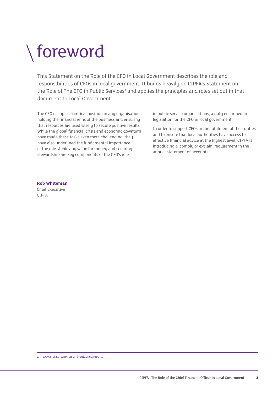### foreword

This Statement on the Role of the CFO in Local Government describes the role and responsibilities of CFOs in local government. It builds heavily on CIPFA's Statement on the Role of The CFO in Public Services<sup>1</sup> and applies the principles and roles set out in that document to Local Government.

The CFO occupies a critical position in any organisation, holding the financial reins of the business and ensuring that resources are used wisely to secure positive results. While the global financial crisis and economic downturn have made these tasks even more challenging, they have also underlined the fundamental importance of the role. Achieving value for money and securing stewardship are key components of the CFO's role

in public service organisations, a duty enshrined in legislation for the CFO in local government.

In order to support CFOs in the fulfilment of their duties and to ensure that local authorities have access to effective financial advice at the highest level, CIPFA is introducing a 'comply or explain' requirement in the annual statement of accounts.

#### **Rob Whiteman**

Chief Executive CIPFA

**1** www.cipfa.org/policy-and-guidance/reports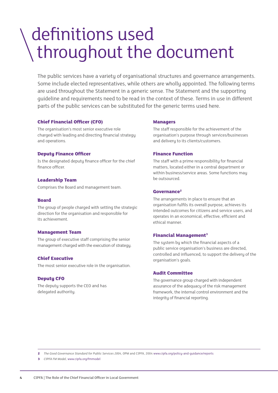### definitions used throughout the document

The public services have a variety of organisational structures and governance arrangements. Some include elected representatives, while others are wholly appointed. The following terms are used throughout the Statement in a generic sense. The Statement and the supporting guideline and requirements need to be read in the context of these. Terms in use in different parts of the public services can be substituted for the generic terms used here.

#### **Chief Financial Officer (CFO)**

The organisation's most senior executive role charged with leading and directing financial strategy and operations.

#### **Deputy Finance Officer**

Is the designated deputy finance officer for the chief finance officer.

#### **Leadership Team**

Comprises the Board and management team.

#### **Board**

The group of people charged with setting the strategic direction for the organisation and responsible for its achievement.

#### **Management Team**

The group of executive staff comprising the senior management charged with the execution of strategy.

#### **Chief Executive**

The most senior executive role in the organisation.

#### **Deputy CFO**

The deputy supports the CEO and has delegated authority.

#### **Managers**

The staff responsible for the achievement of the organisation's purpose through services/businesses and delivery to its clients/customers.

#### **Finance Function**

The staff with a prime responsibility for financial matters, located either in a central department or within business/service areas. Some functions may be outsourced.

#### **Governance2**

The arrangements in place to ensure that an organisation fulfils its overall purpose, achieves its intended outcomes for citizens and service users, and operates in an economical, effective, efficient and ethical manner.

#### **Financial Management3**

The system by which the financial aspects of a public service organisation's business are directed, controlled and influenced, to support the delivery of the organisation's goals.

#### **Audit Committee**

The governance group charged with independent assurance of the adequacy of the risk management framework, the internal control environment and the integrity of financial reporting.

**2** *The Good Governance Standard for Public Services 2004*, OPM and CIPFA, 2004 www.cipfa.org/policy-and-guidance/reports

**3** *CIPFA FM Model,* www.cipfa.org/fmmodel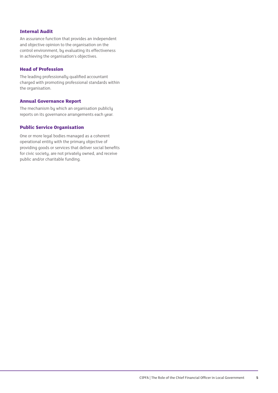#### **Internal Audit**

An assurance function that provides an independent and objective opinion to the organisation on the control environment, by evaluating its effectiveness in achieving the organisation's objectives.

#### **Head of Profession**

The leading professionally qualified accountant charged with promoting professional standards within the organisation.

#### **Annual Governance Report**

The mechanism by which an organisation publicly reports on its governance arrangements each year.

#### **Public Service Organisation**

One or more legal bodies managed as a coherent operational entity with the primary objective of providing goods or services that deliver social benefits for civic society, are not privately owned, and receive public and/or charitable funding.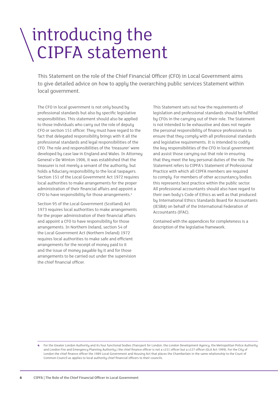### introducing the CIPFA statement

This Statement on the role of the Chief Financial Officer (CFO) in Local Government aims to give detailed advice on how to apply the overarching public services Statement within local government.

The CFO in local government is not only bound by professional standards but also by specific legislative responsibilities. This statement should also be applied to those individuals who carry out the role of deputy CFO or section 151 officer. They must have regard to the fact that delegated responsibility brings with it all the professional standards and legal responsibilities of the CFO. The role and responsibilities of the 'treasurer' were developed by case law in England and Wales. In Attorney General v De Winton 1906, it was established that the treasurer is not merely a servant of the authority, but holds a fiduciary responsibility to the local taxpayers. Section 151 of the Local Government Act 1972 requires local authorities to make arrangements for the proper administration of their financial affairs and appoint a CFO to have responsibility for those arrangements.<sup>4</sup>

Section 95 of the Local Government (Scotland) Act 1973 requires local authorities to make arrangements for the proper administration of their financial affairs and appoint a CFO to have responsibility for those arrangements. In Northern Ireland, section 54 of the Local Government Act (Northern Ireland) 1972 requires local authorities to make safe and efficient arrangements for the receipt of money paid to it and the issue of money payable by it and for those arrangements to be carried out under the supervision the chief financial officer.

This Statement sets out how the requirements of legislation and professional standards should be fulfilled by CFOs in the carrying out of their role. The Statement is not intended to be exhaustive and does not negate the personal responsibility of finance professionals to ensure that they comply with all professional standards and legislative requirements. It is intended to codify the key responsibilities of the CFO in local government and assist those carrying out that role in ensuring that they meet the key personal duties of the role. The Statement refers to CIPFA's Statement of Professional Practice with which all CIPFA members are required to comply. For members of other accountancy bodies this represents best practice within the public sector. All professional accountants should also have regard to their own body's Code of Ethics as well as that produced by International Ethics Standards Board for Accountants (IESBA) on behalf of the International Federation of Accountants (IFAC).

Contained with the appendices for completeness is a description of the legislative framework.

**<sup>4</sup>** For the Greater London Authority and its four functional bodies (Transport for London, the London Development Agency, the Metropolitan Police Authority and London Fire and Emergency Planning Authority.) the chief finance officer is not a s151 officer but a s127 officer (GLA Act 1999). For the City of London the chief finance officer the 1989 Local Government and Housing Act that places the Chamberlain in the same relationship to the Court of Common Council as applies to local authority chief financial officers to their councils.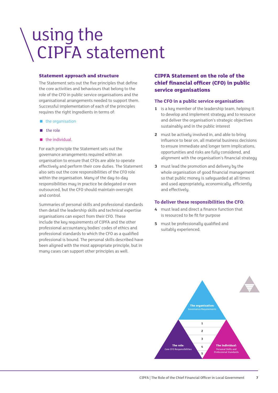### using the CIPFA statement

#### **Statement approach and structure**

The Statement sets out the five principles that define the core activities and behaviours that belong to the role of the CFO in public service organisations and the organisational arrangements needed to support them. Successful implementation of each of the principles requires the right ingredients in terms of:

- the organisation
- **the role**
- $\blacksquare$  the individual.

For each principle the Statement sets out the governance arrangements required within an organisation to ensure that CFOs are able to operate effectively and perform their core duties. The Statement also sets out the core responsibilities of the CFO role within the organisation. Many of the day-to-day responsibilities may in practice be delegated or even outsourced, but the CFO should maintain oversight and control.

Summaries of personal skills and professional standards then detail the leadership skills and technical expertise organisations can expect from their CFO. These include the key requirements of CIPFA and the other professional accountancy bodies' codes of ethics and professional standards to which the CFO as a qualified professional is bound. The personal skills described have been aligned with the most appropriate principle, but in many cases can support other principles as well.

#### **CIPFA Statement on the role of the chief financial officer (CFO) in public service organisations**

#### **The CFO in a public service organisation:**

- **1** is a key member of the leadership team, helping it to develop and implement strategy and to resource and deliver the organisation's strategic objectives sustainably and in the public interest
- **2** must be actively involved in, and able to bring influence to bear on, all material business decisions to ensure immediate and longer term implications, opportunities and risks are fully considered, and alignment with the organisation's financial strategy
- **3** must lead the promotion and delivery by the whole organisation of good financial management so that public money is safeguarded at all times and used appropriately, economically, efficiently and effectively.

#### **To deliver these responsibilities the CFO:**

- **4** must lead and direct a finance function that is resourced to be fit for purpose
- **5** must be professionally qualified and suitably experienced.

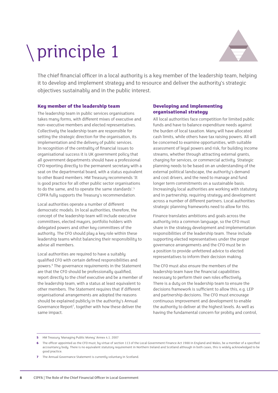# principle 1



The chief financial officer in a local authority is a key member of the leadership team, helping it to develop and implement strategy and to resource and deliver the authority's strategic objectives sustainably and in the public interest.

#### **Key member of the leadership team**

The leadership team in public services organisations takes many forms, with different mixes of executive and non–executive members and elected representatives. Collectively the leadership team are responsible for setting the strategic direction for the organisation, its implementation and the delivery of public services. In recognition of the centrality of financial issues to organisational success it is UK government policy that all government departments should have a professional CFO reporting directly to the permanent secretary with a seat on the departmental board, with a status equivalent to other Board members. HM Treasury recommends 'It is good practice for all other public sector organisations to do the same, and to operate the same standards'.<sup>5</sup> CIPFA fully supports the Treasury's recommendation.

Local authorities operate a number of different democratic models. In local authorities, therefore, the concept of the leadership team will include executive committees, elected mayors, portfolio holders with delegated powers and other key committees of the authority. The CFO should play a key role within these leadership teams whilst balancing their responsibility to advise all members.

Local authorities are required to have a suitably qualified CFO with certain defined responsibilities and powers.<sup>6</sup> The governance requirements in the Statement are that the CFO should be professionally qualified, report directly to the chief executive and be a member of the leadership team, with a status at least equivalent to other members. The Statement requires that if different organisational arrangements are adopted the reasons should be explained publicly in the authority's Annual Governance Report<sup>7</sup>, together with how these deliver the same impact.

#### **Developing and implementing organisational strategy**

All local authorities face competition for limited public funds and have to balance expenditure needs against the burden of local taxation. Many will have allocated cash limits, while others have tax raising powers. All will be concerned to examine opportunities, with suitable assessment of legal powers and risk, for building income streams, whether through attracting external grants, charging for services, or commercial activity. Strategic planning needs to be based on an understanding of the external political landscape, the authority's demand and cost drivers, and the need to manage and fund longer term commitments on a sustainable basis. Increasingly local authorities are working with statutory and in partnership, requiring strategy and development across a number of different partners. Local authorities strategic planning frameworks need to allow for this.

Finance translates ambitions and goals across the authority into a common language, so the CFO must share in the strategy development and implementation responsibilities of the leadership team. These include supporting elected representatives under the proper governance arrangements and the CFO must be in a position to provide unfettered advice to elected representatives to inform their decision making.

The CFO must also ensure the members of the leadership team have the financial capabilities necessary to perform their own roles effectively. There is a duty on the leadership team to ensure the decisions framework is sufficient to allow this, e.g. LEP and partnership decisions. The CFO must encourage continuous improvement and development to enable the authority to deliver at the highest levels. As well as having the fundamental concern for probity and control,

**5** HM Treasury 'Managing Public Money' Annex 4.1. 2007

**7** The Annual Governance Statement is currently voluntary in Scotland.

**<sup>6</sup>** The officer appointed as the CFO must, by virtue of section 113 of the Local Government Finance Act 1988 in England and Wales, be a member of a specified accountancy body. There is no equivalent statutory requirement in Northern Ireland and Scotland although in both cases, this is widely acknowledged to be good practice.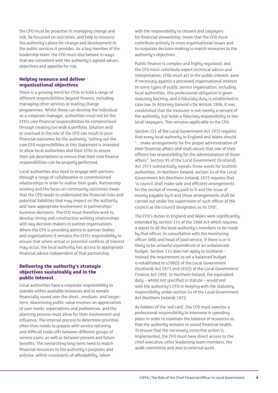the CFO must be proactive in managing change and risk, be focussed on outcomes, and help to resource the authority's plans for change and development in the public services it provides. As a key member of the leadership team, the CFO must also behave in ways that are consistent with the authority's agreed values, objectives and appetite for risk.

#### **Helping resource and deliver organisational objectives**

There is a growing trend for CFOs to hold a range of different responsibilities beyond finance, including managing other services or leading change programmes. Whilst these can develop the individual as a corporate manager, authorities must not let the CFO's core financial responsibilities be compromised through creating too wide a portfolio. Dilution and/ or overload in the role of the CFO can result in poor financial outcomes for the authority. Setting out the core CFO responsibilities in this Statement is intended to allow local authorities and their CFOs to assess their job descriptions to ensure that their core finance responsibilities can be properly performed.

Local authorities also need to engage with partners through a range of collaborative or commissioned relationships in order to realise their goals. Partnership working and the focus on community outcomes mean that the CFO needs to understand the financial risks and potential liabilities that may impact on the authority and have appropriate involvement in partnerships' business decisions. The CFO must therefore work to develop strong and constructive working relationships with key decision makers in partner organisations. Where the CFO is providing advice to partner bodies and organisations it remains the CFO's responsibility to ensure that where actual or potential conflicts of interest may occur, the local authority has access to appropriate financial advice independent of that partnership.

#### **Delivering the authority's strategic objectives sustainably and in the public interest**

Local authorities have a corporate responsibility to operate within available resources and to remain financially sound over the short-, medium- and longerterm. Maximising public value involves an appreciation of user needs, expectations and preferences, and the planning process must allow for their involvement and influence. The internal process to determine priorities often then needs to grapple with service rationing and difficult trade-offs between different groups of service users, as well as between present and future benefits. The overarching long-term need to match financial resources to the authority's purposes and policies, within constraints of affordability, taken

with the responsibility to citizens and taxpayers for financial stewardship, mean that the CFO must contribute actively to cross organisational issues and to corporate decision making to match resources to the authority's objectives.

Public finance is complex and highly regulated, and the CFO must contribute expert technical advice and interpretation. CFOs must act in the public interest, even if necessary against a perceived organisational interest. In some types of public service organisation, including local authorities, this professional obligation is given statutory backing, and a fiduciary duty is established in case law. In Attorney General v De Winton 1906, it was established that the treasurer is not merely a servant of the authority, but holds a fiduciary responsibility to the local taxpayers. This remains applicable to the CFO.

Section 151 of the Local Government Act 1972 requires that every local authority in England and Wales should "... make arrangements for the proper administration of their financial affairs and shall secure that one of their officers has responsibility for the administration of those affairs". Section 95 of the Local Government (Scotland) Act 1973 substantially repeats these words for Scottish authorities. In Northern Ireland, section 54 of the Local Government Act (Northern Ireland) 1972 requires that "a council shall make safe and efficient arrangements for the receipt of money paid to it and the issue of money payable by it and those arrangements shall be carried out under the supervision of such officer of the council as the council designates as its CFO".

The CFO's duties in England and Wales were significantly extended by section 114 of the 1988 Act which requires a report to all the local authority's members to be made by that officer, in consultation with the monitoring officer (MO) and head of paid service, if there is or is likely to be unlawful expenditure or an unbalanced budget. Section 114 does not apply to Scotland – instead the requirement to set a balanced budget is established in s108(2) of the Local Government (Scotland) Act 1973 and s93(3) of the Local Government Finance Act 1992. In Northern Ireland, the equivalent duty – whilst not specified in statute – would rest with the authority's CFO in keeping with the statutory responsibility under section 54 of the Local Government Act (Northern Ireland) 1972.

As holders of the 'red card', the CFO must exercise a professional responsibility to intervene in spending plans in order to maintain the balance of resources so that the authority remains in sound financial health. To ensure that the necessary corrective action is implemented, the CFO must have direct access to the chief executive, other leadership team members, the audit committee and also to external audit.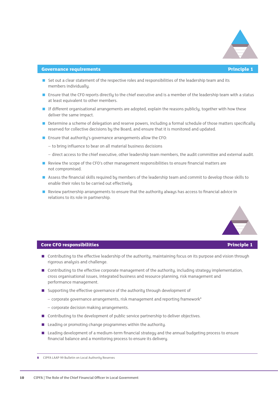

#### **Governance requirements Principle 1**

- **Set out a clear statement of the respective roles and responsibilities of the leadership team and its** members individually.
- **Example 1** Ensure that the CFO reports directly to the chief executive and is a member of the leadership team with a status at least equivalent to other members.
- If different organisational arrangements are adopted, explain the reasons publicly, together with how these deliver the same impact.
- Determine a scheme of delegation and reserve powers, including a formal schedule of those matters specifically reserved for collective decisions by the Board, and ensure that it is monitored and updated.
- Ensure that authority's governance arrangements allow the CFO:
	- to bring influence to bear on all material business decisions
	- direct access to the chief executive, other leadership team members, the audit committee and external audit.
- $\blacksquare$  Review the scope of the CFO's other management responsibilities to ensure financial matters are not compromised.
- Assess the financial skills required by members of the leadership team and commit to develop those skills to enable their roles to be carried out effectively.
- Review partnership arrangements to ensure that the authority always has access to financial advice in relations to its role in partnership.



#### **Core CFO responsibilities Principle 1**

- **n** Contributing to the effective leadership of the authority, maintaining focus on its purpose and vision through rigorous analysis and challenge.
- Contributing to the effective corporate management of the authority, including strategy implementation, cross organisational issues, integrated business and resource planning, risk management and performance management.
- Supporting the effective governance of the authority through development of
	- $-$  corporate governance arrangements, risk management and reporting framework<sup>8</sup>
	- corporate decision making arrangements.
- $\Box$  Contributing to the development of public service partnership to deliver objectives.
- $\blacksquare$  Leading or promoting change programmes within the authority.
- **E** Leading development of a medium-term financial strategy and the annual budgeting process to ensure financial balance and a monitoring process to ensure its delivery.

**<sup>8</sup>** CIPFA LAAP 99 Bulletin on Local Authority Reserves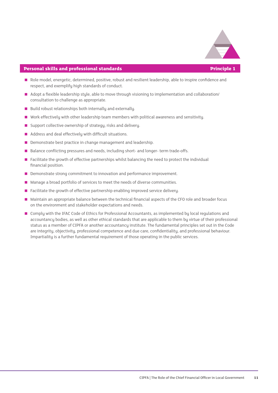

#### **Personal skills and professional standards Principle 1**

- Role model, energetic, determined, positive, robust and resilient leadership, able to inspire confidence and respect, and exemplify high standards of conduct.
- Adopt a flexible leadership style, able to move through visioning to implementation and collaboration/ consultation to challenge as appropriate.
- **Build robust relationships both internally and externally.**
- Work effectively with other leadership team members with political awareness and sensitivity.
- Support collective ownership of strategy, risks and delivery.
- Address and deal effectively with difficult situations.
- < Demonstrate best practice in change management and leadership.
- < Balance conflicting pressures and needs, including short- and longer- term trade-offs.
- **Example 1** Facilitate the growth of effective partnerships whilst balancing the need to protect the individual financial position.
- **Demonstrate strong commitment to innovation and performance improvement.**
- Manage a broad portfolio of services to meet the needs of diverse communities.
- Facilitate the growth of effective partnership enabling improved service delivery.
- < Maintain an appropriate balance between the technical financial aspects of the CFO role and broader focus on the environment and stakeholder expectations and needs.
- Complu with the IFAC Code of Ethics for Professional Accountants, as implemented bu local regulations and accountancy bodies, as well as other ethical standards that are applicable to them by virtue of their professional status as a member of CIPFA or another accountancy institute. The fundamental principles set out in the Code are integrity, objectivity, professional competence and due care, confidentiality, and professional behaviour. Impartiality is a further fundamental requirement of those operating in the public services.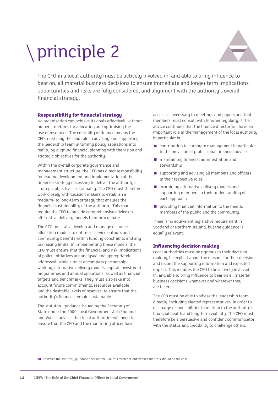# principle 2



The CFO in a local authority must be actively involved in, and able to bring influence to bear on, all material business decisions to ensure immediate and longer term implications, opportunities and risks are fully considered, and alignment with the authority's overall financial strategy.

#### **Responsibility for financial strategy**

No organisation can achieve its goals effectively without proper structures for allocating and optimising the use of resources. The centrality of finance means the CFO must play the lead role in advising and supporting the leadership team in turning policy aspirations into reality by aligning financial planning with the vision and strategic objectives for the authority.

Within the overall corporate governance and management structure, the CFO has direct responsibility for leading development and implementation of the financial strategy necessary to deliver the authority's strategic objectives sustainably. The CFO must therefore work closely with decision makers to establish a medium- to long-term strategy that ensures the financial sustainability of the authority. This may require the CFO to provide comprehensive advice on alternative delivery models to inform debate.

The CFO must also develop and manage resource allocation models to optimise service outputs and community benefits within funding constraints and any tax raising limits. In implementing these models, the CFO must ensure that the financial and risk implications of policy initiatives are analysed and appropriately addressed. Models must encompass partnership working, alternative delivery models, capital investment programmes and annual operations, as well as financial targets and benchmarks. They must also take into account future commitments, resources available and the desirable levels of reserves, to ensure that the authority's finances remain sustainable.

The statutory guidance issued by the Secretary of State under the 2000 Local Government Act (England and Wales) advises that local authorities will need to ensure that the CFO and the monitoring officer have

access as necessary to meetings and papers and that members must consult with him/her regularly.10 The advice continues that the finance director will have an important role in the management of the local authority in particular by:

- $\Box$  contributing to corporate management in particular to the provision of professional financial advice
- maintaining financial administration and stewardship
- supporting and advising all members and officers in their respective roles
- $\blacksquare$  examining alternative delivery models and supporting members in their understanding of each approach
- $\blacksquare$  providing financial information to the media, members of the public and the community.

There is no equivalent legislative requirement in Scotland or Northern Ireland, but the guidance is equally relevant.

#### **Influencing decision making**

Local authorities must be rigorous in their decision making, be explicit about the reasons for their decisions and record the supporting information and expected impact. This requires the CFO to be actively involved in, and able to bring influence to bear on all material business decisions whenever and wherever they are taken.

The CFO must be able to advise the leadership team directly, including elected representatives, in order to discharge responsibilities in relation to the authority's financial health and long-term viability. The CFO must therefore be a persuasive and confident communicator with the status and credibility to challenge others,

**10** In Wales the statutory guidance does not include this reference but implies that this should be the case.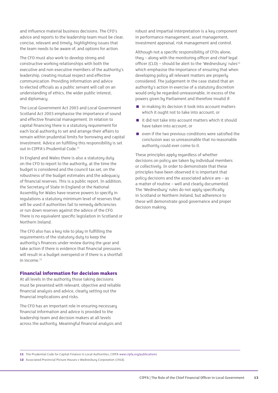and influence material business decisions. The CFO's advice and reports to the leadership team must be clear, concise, relevant and timely, highlighting issues that the team needs to be aware of, and options for action.

The CFO must also work to develop strong and constructive working relationships with both the executive and non executive members of the authority's leadership, creating mutual respect and effective communication. Providing information and advice to elected officials as a public servant will call on an understanding of ethics, the wider public interest, and diplomacy.

The Local Government Act 2003 and Local Government Scotland Act 2003 emphasise the importance of sound and effective financial management. In relation to capital financing there is a statutory requirement for each local authority to set and arrange their affairs to remain within prudential limits for borrowing and capital investment. Advice on fulfilling this responsibility is set out in CIPFA's Prudential Code.<sup>11</sup>

In England and Wales there is also a statutory duty on the CFO to report to the authority, at the time the budget is considered and the council tax set, on the robustness of the budget estimates and the adequacy of financial reserves. This is a public report. In addition, the Secretary of State in England or the National Assemblu for Wales have reserve powers to specifu in regulations a statutory minimum level of reserves that will be used if authorities fail to remedy deficiencies or run down reserves against the advice of the CFO. There is no equivalent specific legislation in Scotland or Northern Ireland.

The CFO also has a key role to play in fulfilling the requirements of the statutory duty to keep the authority's finances under review during the year and take action if there is evidence that financial pressures will result in a budget overspend or if there is a shortfall in income  $12$ 

#### **Financial information for decision makers**

At all levels in the authority those taking decisions must be presented with relevant, objective and reliable financial analysis and advice, clearly setting out the financial implications and risks.

The CFO has an important role in ensuring necessary financial information and advice is provided to the leadership team and decision makers at all levels across the authority. Meaningful financial analysis and robust and impartial interpretation is a key component in performance management, asset management, investment appraisal, risk management and control.

Although not a specific responsibility of CFOs alone, they – along with the monitoring officer and chief legal officer (CLO) – should be alert to the 'Wednesbury' rules<sup>14</sup> which emphasise the importance of ensuring that when developing policy all relevant matters are properly considered. The judgement in the case stated that an authority's action in exercise of a statutory discretion would only be regarded unreasonable, in excess of the powers given by Parliament and therefore invalid if:

- in making its decision it took into account matters which it ought not to take into account, or
- $\blacksquare$  it did not take into account matters which it should have taken into account, or
- $\blacksquare$  even if the two previous conditions were satisfied the conclusion was so unreasonable that no reasonable authority could ever come to it.

These principles apply regardless of whether decisions on policy are taken by individual members or collectively. In order to demonstrate that these principles have been observed it is important that policy decisions and the associated advice are – as a matter of routine – well and clearly documented. The 'Wednesbury' rules do not apply specifically in Scotland or Northern Ireland, but adherence to these will demonstrate good governance and proper decision making.

**<sup>11</sup>** The Prudential Code for Capital Finance in Local Authorities, CIPFA www.cipfa.org/publications

**<sup>12</sup>** Associated Provincial Picture Houses v Wednesbury Corporation (1948).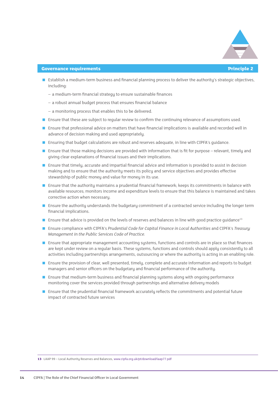

#### **Governance requirements Principle 2**

- **Establish a medium-term business and financial planning process to deliver the authority's strategic objectives,** including:
	- a medium-term financial strategy to ensure sustainable finances
	- a robust annual budget process that ensures financial balance
	- a monitoring process that enables this to be delivered.
- **Ensure that these are subject to reqular review to confirm the continuing relevance of assumptions used.**
- **E** Ensure that professional advice on matters that have financial implications is available and recorded well in advance of decision making and used appropriately.
- **EXTENSION CONTERVIER IS UPPEN**'s quidance. That the solutions are robust and reserves adequate, in line with CIPFA's quidance.
- **Ensure that those making decisions are provided with information that is fit for purpose relevant, timely and** giving clear explanations of financial issues and their implications.
- **Ensure that timely, accurate and impartial financial advice and information is provided to assist in decision** making and to ensure that the authority meets its policy and service objectives and provides effective stewardship of public money and value for money in its use.
- **Ensure that the authority maintains a prudential financial framework; keeps its commitments in balance with** available resources; monitors income and expenditure levels to ensure that this balance is maintained and takes corrective action when necessary.
- **Ensure the authority understands the budgetary commitment of a contracted service including the longer term** financial implications.
- **E** Ensure that advice is provided on the levels of reserves and balances in line with good practice quidance<sup>13</sup>
- < Ensure compliance with CIPFA's *Prudential Code for Capital Finance in Local Authorities* and CIPFA's *Treasury Management in the Public Services Code of Practice.*
- **Ensure that appropriate management accounting systems, functions and controls are in place so that finances** are kept under review on a regular basis. These systems, functions and controls should apply consistently to all activities including partnerships arrangements, outsourcing or where the authority is acting in an enabling role.
- **Ensure the provision of clear, well presented, timely, complete and accurate information and reports to budget** managers and senior officers on the budgetary and financial performance of the authority.
- **E** Ensure that medium-term business and financial planning systems along with ongoing performance monitoring cover the services provided through partnerships and alternative delivery models
- **Ensure that the prudential financial framework accurately reflects the commitments and potential future** impact of contracted future services

**13** LAAP 99 – Local Authority Reserves and Balances, www.cipfa.org.uk/pt/download/laap77.pdf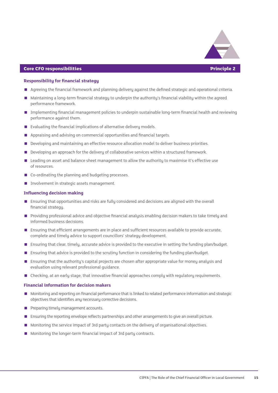

#### **Core CFO responsibilities Principle 2**

#### **Responsibility for financial strategy**

- Agreeing the financial framework and planning delivery against the defined strategic and operational criteria.
- < Maintaining a long-term financial strategy to underpin the authority's financial viability within the agreed performance framework.
- **Implementing financial management policies to underpin sustainable long-term financial health and reviewing** performance against them.
- $\blacksquare$  Evaluating the financial implications of alternative delivery models.
- Appraising and advising on commercial opportunities and financial targets.
- < Developing and maintaining an effective resource allocation model to deliver business priorities.
- < Developing an approach for the delivery of collaborative services within a structured framework.
- **Example 2** Leading on asset and balance sheet management to allow the authority to maximise it's effective use of resources.
- Co-ordinating the planning and budgeting processes.
- < Involvement in strategic assets management.

#### **Influencing decision making**

- **Ensuring that opportunities and risks are fully considered and decisions are aligned with the overall** financial strategy.
- < Providing professional advice and objective financial analysis enabling decision makers to take timely and informed business decisions.
- **E** Ensuring that efficient arrangements are in place and sufficient resources available to provide accurate, complete and timely advice to support councillors' strategy development.
- **Ensuring that clear, timely, accurate advice is provided to the executive in setting the funding plan/budget.**
- < Ensuring that advice is provided to the scrutiny function in considering the funding plan/budget.
- **Ensuring that the authority's capital projects are chosen after appropriate value for money analysis and** evaluation using relevant professional guidance.
- Checking, at an early stage, that innovative financial approaches comply with regulatory requirements.

#### **Financial information for decision makers**

- < Monitoring and reporting on financial performance that is linked to related performance information and strategic objectives that identifies any necessary corrective decisions.
- Preparing timely management accounts.
- < Ensuring the reporting envelope reflects partnerships and other arrangements to give an overall picture.
- < Monitoring the service impact of 3rd party contacts on the delivery of organisational objectives.
- < Monitoring the longer-term financial impact of 3rd party contracts.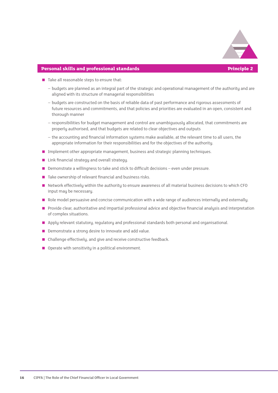

#### **Personal skills and professional standards Principle 2**

- $\blacksquare$  Take all reasonable steps to ensure that:
	- budgets are planned as an integral part of the strategic and operational management of the authority and are aligned with its structure of managerial responsibilities
	- budgets are constructed on the basis of reliable data of past performance and rigorous assessments of future resources and commitments, and that policies and priorities are evaluated in an open, consistent and thorough manner
	- responsibilities for budget management and control are unambiguously allocated, that commitments are properly authorised, and that budgets are related to clear objectives and outputs
	- the accounting and financial information systems make available, at the relevant time to all users, the appropriate information for their responsibilities and for the objectives of the authority.
- **Implement other appropriate management, business and strategic planning techniques.**
- $\blacksquare$  Link financial strategy and overall strategy.
- Demonstrate a willingness to take and stick to difficult decisions even under pressure.
- $\blacksquare$  Take ownership of relevant financial and business risks.
- Network effectively within the authority to ensure awareness of all material business decisions to which CFO input may be necessary.
- Role model persuasive and concise communication with a wide range of audiences internally and externally.
- **Provide clear, authoritative and impartial professional advice and objective financial analysis and interpretation** of complex situations.
- Apply relevant statutory, regulatory and professional standards both personal and organisational.
- **Demonstrate a strong desire to innovate and add value.**
- $\blacksquare$  Challenge effectively, and give and receive constructive feedback.
- $\Box$  Operate with sensitivity in a political environment.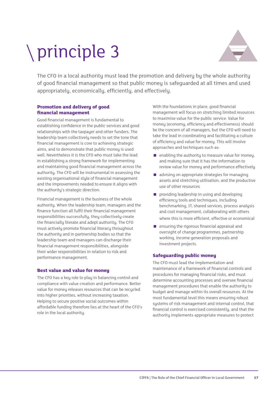# principle 3



The CFO in a local authority must lead the promotion and delivery by the whole authority of good financial management so that public money is safeguarded at all times and used appropriately, economically, efficiently, and effectively.

#### **Promotion and delivery of good financial management**

Good financial management is fundamental to establishing confidence in the public services and good relationships with the taxpayer and other funders. The leadership team collectively needs to set the tone that financial management is core to achieving strategic aims, and to demonstrate that public money is used well. Nevertheless it is the CFO who must take the lead in establishing a strong framework for implementing and maintaining good financial management across the authority. The CFO will be instrumental in assessing the existing organisational style of financial management and the improvements needed to ensure it aligns with the authority's strategic direction.

Financial management is the business of the whole authority. When the leadership team, managers and the finance function all fulfil their financial management responsibilities successfully, they collectively create the financially literate and adept authority. The CFO must actively promote financial literacy throughout the authority and in partnership bodies so that the leadership team and managers can discharge their financial management responsibilities, alongside their wider responsibilities in relation to risk and performance management.

#### **Best value and value for money**

The CFO has a key role to play in balancing control and compliance with value creation and performance. Better value for moneu releases resources that can be recucled into higher priorities, without increasing taxation. Helping to secure positive social outcomes within affordable funding therefore lies at the heart of the CFO's role in the local authority.

With the foundations in place, good financial management will focus on stretching limited resources to maximise value for the public service. Value for money (economy, efficiency and effectiveness) should be the concern of all managers, but the CFO will need to take the lead in coordinating and facilitating a culture of efficiency and value for money. This will involve approaches and techniques such as:

- $\blacksquare$  enabling the authority to measure value for money, and making sure that it has the information to review value for money and performance effectively
- advising on appropriate strategies for managing assets and stretching utilisation, and the productive use of other resources
- $\Box$  providing leadership in using and developing efficiency tools and techniques, including benchmarking, IT, shared services, process analysis and cost management, collaborating with others where this is more efficient, effective or economical
- $\blacksquare$  ensuring the rigorous financial appraisal and oversight of change programmes, partnership working, income generation proposals and investment projects.

#### **Safeguarding public money**

The CFO must lead the implementation and maintenance of a framework of financial controls and procedures for managing financial risks, and must determine accounting processes and oversee financial management procedures that enable the authority to budget and manage within its overall resources. At the most fundamental level this means ensuring robust systems of risk management and internal control, that financial control is exercised consistently, and that the authority implements appropriate measures to protect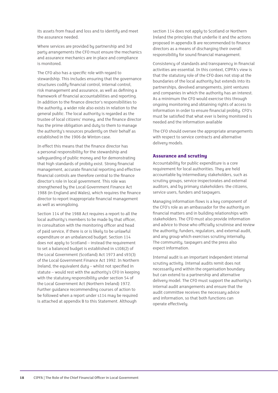its assets from fraud and loss and to identify and meet the assurance needed.

Where services are provided by partnership and 3rd party arrangements the CFO must ensure the mechanics and assurance mechanics are in place and compliance is monitored.

The CFO also has a specific role with regard to stewardship. This includes ensuring that the governance structures codify financial control, internal control, risk management and assurance, as well as defining a framework of financial accountabilities and reporting. In addition to the finance director's responsibilities to the authority, a wider role also exists in relation to the general public. The local authority is regarded as the trustee of local citizens' money, and the finance director has the prime obligation and duty to them to manage the authority's resources prudently on their behalf as established in the 1906 de Winton case.

In effect this means that the finance director has a personal responsibility for the stewardship and safeguarding of public money and for demonstrating that high standards of probity exist. Strong financial management, accurate financial reporting and effective financial controls are therefore central to the finance director's role in local government. This role was strengthened by the Local Government Finance Act 1988 (in England and Wales), which requires the finance director to report inappropriate financial management as well as wrongdoing.

Section 114 of the 1988 Act requires a report to all the local authority's members to be made by that officer, in consultation with the monitoring officer and head of paid service, if there is or is likely to be unlawful expenditure or an unbalanced budget. Section 114 does not apply to Scotland – instead the requirement to set a balanced budget is established in s108(2) of the Local Government (Scotland) Act 1973 and s93(3) of the Local Government Finance Act 1992. In Northern Ireland, the equivalent duty – whilst not specified in statute – would rest with the authority's CFO in keeping with the statutory responsibility under section 54 of the Local Government Act (Northern Ireland) 1972. Further guidance recommending courses of action to be followed when a report under s114 may be required is attached at appendix B to this Statement. Although

section 114 does not apply to Scotland or Northern Ireland the principles that underlie it and the actions proposed in appendix B are recommended to finance directors as a means of discharging their overall responsibility for sound financial management.

Consistency of standards and transparency in financial activities are essential. In this context, CIPFA's view is that the statutory role of the CFO does not stop at the boundaries of the local authority but extends into its partnerships, devolved arrangements, joint ventures and companies in which the authority has an interest. As a minimum the CFO would exercise this through ongoing monitoring and obtaining rights of access to information in order to ensure financial probity. CFO's must be satisfied that what ever is being monitored is needed and the information available

The CFO should oversee the appropriate arrangements with respect to service contracts and alternative delivery models.

#### **Assurance and scrutiny**

Accountability for public expenditure is a core requirement for local authorities. They are held accountable by intermediary stakeholders, such as scrutiny groups, service inspectorates and external auditors, and by primary stakeholders: the citizens, service users, funders and taxpayers.

Managing information flows is a key component of the CFO's role as an ambassador for the authority on financial matters and in building relationships with stakeholders. The CFO must also provide information and advice to those who officially scrutinise and review the authority; funders, regulators, and external audit, and any group which exercises scrutiny internally. The community, taxpayers and the press also expect information.

Internal audit is an important independent internal scrutiny activity. Internal audits remit does not necessarily end within the organisation boundary but can extend to a partnership and alternative delivery model. The CFO must support the authority's internal audit arrangements and ensure that the audit committee receives the necessary advice and information, so that both functions can operate effectively.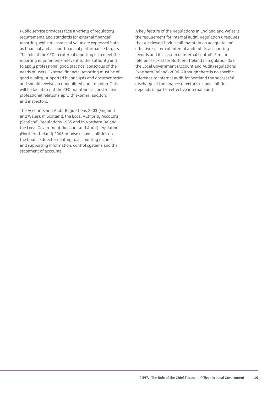Public service providers face a variety of regulatory requirements and standards for external financial reporting, while measures of value are expressed both as financial and as non-financial performance targets. The role of the CFO in external reporting is to meet the reporting requirements relevant to the authority and to apply professional good practice, conscious of the needs of users. External financial reporting must be of good quality, supported by analysis and documentation and should receive an unqualified audit opinion. This will be facilitated if the CFO maintains a constructive professional relationship with external auditors and inspectors.

The Accounts and Audit Regulations 2003 (England and Wales), in Scotland, the Local Authority Accounts (Scotland) Regulations 1985 and in Northern Ireland the Local Government (Account and Audit) regulations (Northern Ireland) 2006 impose responsibilities on the finance director relating to accounting records and supporting information, control systems and the statement of accounts.

A key feature of the Regulations in England and Wales is the requirement for internal audit. Regulation 6 requires that a 'relevant body shall maintain an adequate and effective system of internal audit of its accounting records and its system of internal control'. Similar references exist for Northern Ireland in regulation 3a of the Local Government (Account and Audit) regulations (Northern Ireland) 2006. Although there is no specific reference to internal audit for Scotland the successful discharge of the finance director's responsibilities depends in part on effective internal audit.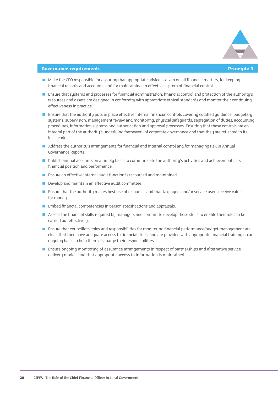

#### **Governance requirements Principle 3**

- Make the CFO responsible for ensuring that appropriate advice is given on all financial matters, for keeping financial records and accounts, and for maintaining an effective system of financial control.
- **Ensure that systems and processes for financial administration, financial control and protection of the authority's** resources and assets are designed in conformity with appropriate ethical standards and monitor their continuing effectiveness in practice.
- **Ensure that the authority puts in place effective internal financial controls covering codified quidance, budgetary** systems, supervision, management review and monitoring, physical safeguards, segregation of duties, accounting procedures, information systems and authorisation and approval processes. Ensuring that these controls are an integral part of the authority's underlying framework of corporate governance and that they are reflected in its local code.
- Address the authority's arrangements for financial and internal control and for managing risk in Annual Governance Reports.
- Publish annual accounts on a timely basis to communicate the authority's activities and achievements, its financial position and performance.
- **E** Ensure an effective internal audit function is resourced and maintained.
- < Develop and maintain an effective audit committee.
- **Ensure that the authority makes best use of resources and that taxpayers and/or service users receive value** for moneu.
- Embed financial competencies in person specifications and appraisals.
- Assess the financial skills required by managers and commit to develop those skills to enable their roles to be carried out effectively.
- **E** Ensure that councillors' roles and responsibilities for monitoring financial performance/budget management are clear, that they have adequate access to financial skills, and are provided with appropriate financial training on an ongoing basis to help them discharge their responsibilities.
- **Ensure ongoing monitoring of assurance arrangements in respect of partnerships and alternative service** delivery models and that appropriate access to information is maintained.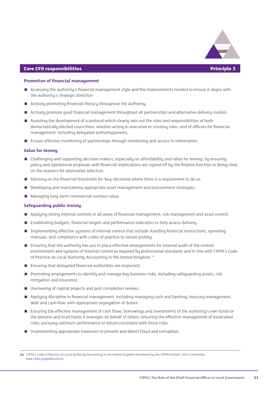

#### **Core CFO responsibilities Principle 3**

#### **Promotion of financial management**

- Assessing the authority's financial management style and the improvements needed to ensure it aligns with the authority's strategic direction.
- < Actively promoting financial literacy throughout the authority.
- Actively promote good financial management throughout all partnerships and alternative delivery models.
- < Assisting the development of a protocol which clearly sets out the roles and responsibilities of both democratically elected councillors, whether acting in executive or scrutiny roles, and of officers for financial management, including delegated authority/powers.
- **E** Ensure effective monitoring of partnerships through monitoring and access to information.

#### **Value for money**

- Challenging and supporting decision makers, especially on affordability and value for money, by ensuring policy and operational proposals with financial implications are signed off by the finance function or being clear on the reason's for alternative selection.
- Advising on the financial thresholds for 'key' decisions where there is a requirement to do so.
- < Developing and maintaining appropriate asset management and procurement strategies.
- **Managing long-term commercial contract value.**

#### **Safeguarding public money**

- Applying strong internal controls in all areas of financial management, risk management and asset control.
- < Establishing budgets, financial targets and performance indicators to help assess delivery.
- **Implementing effective systems of internal control that include standing financial instructions, operating** manuals, and compliance with codes of practice to secure probity.
- **Ensuring that the authority has put in place effective arrangements for internal audit of the control** environment and systems of internal control as required by professional standards and in line with CIPFA's Code of Practice on Local Authority Accounting in the United Kingdom.<sup>14</sup>
- Ensuring that delegated financial authorities are respected.
- < Promoting arrangements to identify and manage key business risks, including safeguarding assets, risk mitigation and insurance.
- < Overseeing of capital projects and post completion reviews.
- < Applying discipline in financial management, including managing cash and banking, treasury management, debt and cash flow, with appropriate segregation of duties.
- **Ensuring the effective management of cash flows, borrowings and investments of the authority's own funds or** the pension and trust funds it manages on behalf of others; ensuring the effective management of associated risks; pursuing optimum performance or return consistent with those risks.
- **IDED** Implementing appropriate measures to prevent and detect fraud and corruption.

**14** CIPFA's *Code of Practice on Local Authority Accounting in the United Kingdom* developed by the CIPFA/LASAAC Joint Committee www.cipfa.org/publications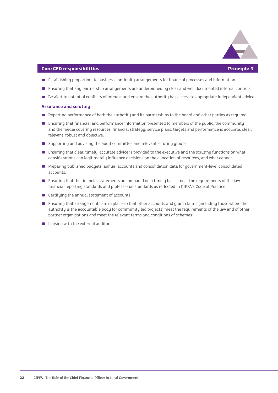

#### **Core CFO responsibilities Principle 3**

- **E** Establishing proportionate business continuity arrangements for financial processes and information.
- **Ensuring that any partnership arrangements are underpinned by clear and well documented internal controls.**
- Be alert to potential conflicts of interest and ensure the authority has access to appropriate independent advice.

#### **Assurance and scrutiny**

- Reporting performance of both the authority and its partnerships to the board and other parties as required.
- **E** Ensuring that financial and performance information presented to members of the public, the community and the media covering resources, financial strategy, service plans, targets and performance is accurate, clear, relevant, robust and objective.
- Supporting and advising the audit committee and relevant scrutiny groups.
- **E** Ensuring that clear, timely, accurate advice is provided to the executive and the scrutiny functions on what considerations can legitimately influence decisions on the allocation of resources, and what cannot.
- **Preparing published budgets, annual accounts and consolidation data for government-level consolidated** accounts.
- **E** Ensuring that the financial statements are prepared on a timely basis, meet the requirements of the law, financial reporting standards and professional standards as reflected in CIPFA's Code of Practice.
- Certifying the annual statement of accounts.
- **E** Ensuring that arrangements are in place so that other accounts and grant claims (including those where the authority is the accountable body for community led projects) meet the requirements of the law and of other partner organisations and meet the relevant terms and conditions of schemes
- $\blacksquare$  Liaising with the external auditor.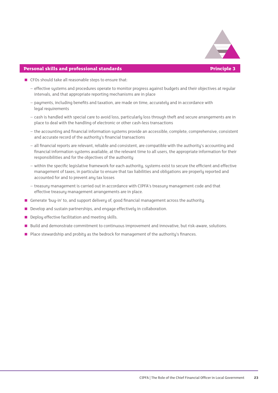

#### **Personal skills and professional standards Principle 3**

- $\blacksquare$  CFOs should take all reasonable steps to ensure that:
	- effective systems and procedures operate to monitor progress against budgets and their objectives at regular intervals, and that appropriate reporting mechanisms are in place
	- payments, including benefits and taxation, are made on time, accurately and in accordance with legal requirements
	- cash is handled with special care to avoid loss, particularly loss through theft and secure arrangements are in place to deal with the handling of electronic or other cash-less transactions
	- the accounting and financial information systems provide an accessible, complete, comprehensive, consistent and accurate record of the authority's financial transactions
	- all financial reports are relevant, reliable and consistent, are compatible with the authority's accounting and financial information systems available, at the relevant time to all users, the appropriate information for their responsibilities and for the objectives of the authority
	- within the specific legislative framework for each authority, systems exist to secure the efficient and effective management of taxes, in particular to ensure that tax liabilities and obligations are properly reported and accounted for and to prevent any tax losses
	- treasury management is carried out in accordance with CIPFA's treasury management code and that effective treasury management arrangements are in place.
- Generate 'buy-in' to, and support delivery of, good financial management across the authority.
- Develop and sustain partnerships, and engage effectively in collaboration.
- Deploy effective facilitation and meeting skills.
- < Build and demonstrate commitment to continuous improvement and innovative, but risk-aware, solutions.
- **Place stewardship and probity as the bedrock for management of the authority's finances.**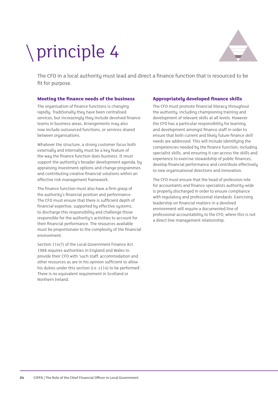# principle 4



The CFO in a local authority must lead and direct a finance function that is resourced to be fit for purpose.

#### **Meeting the finance needs of the business**

The organisation of finance functions is changing rapidly. Traditionally they have been centralised services, but increasingly they include devolved finance teams in business areas. Arrangements may also now include outsourced functions, or services shared between organisations.

Whatever the structure, a strong customer focus both externally and internally must be a key feature of the way the finance function does business. It must support the authority's broader development agenda, by appraising investment options and change programmes and contributing creative financial solutions within an effective risk management framework.

The finance function must also have a firm grasp of the authority's financial position and performance. The CFO must ensure that there is sufficient depth of financial expertise, supported by effective systems, to discharge this responsibility and challenge those responsible for the authority's activities to account for their financial performance. The resources available must be proportionate to the complexity of the financial environment.

Section 114(7) of the Local Government Finance Act 1988 requires authorities in England and Wales to provide their CFO with 'such staff, accommodation and other resources as are in his opinion sufficient to allow his duties under this section (i.e. s114) to be performed'. There is no equivalent requirement in Scotland or Northern Ireland.

#### **Appropriately developed finance skills**

The CFO must promote financial literacy throughout the authority, including championing training and development of relevant skills at all levels. However the CFO has a particular responsibility for learning and development amongst finance staff in order to ensure that both current and likely future finance skill needs are addressed. This will include identifying the competencies needed by the finance function, including specialist skills, and ensuring it can access the skills and experience to exercise stewardship of public finances, develop financial performance and contribute effectively to new organisational directions and innovation.

The CFO must ensure that the head of profession role for accountants and finance specialists authority-wide is properly discharged in order to ensure compliance with regulatory and professional standards. Exercising leadership on financial matters in a devolved environment will require a documented line of professional accountability to the CFO, where this is not a direct line management relationship.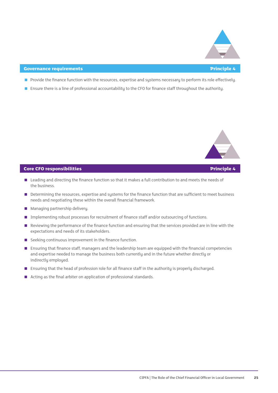

#### **Covernance requirements Principle 4**

- Provide the finance function with the resources, expertise and systems necessary to perform its role effectively.
- **Ensure there is a line of professional accountability to the CFO for finance staff throughout the authority.**



#### **Core CFO responsibilities Principle 4**

- Leading and directing the finance function so that it makes a full contribution to and meets the needs of the business.
- **Determining the resources, expertise and systems for the finance function that are sufficient to meet business** needs and negotiating these within the overall financial framework.
- < Managing partnership delivery.
- < Implementing robust processes for recruitment of finance staff and/or outsourcing of functions.
- Reviewing the performance of the finance function and ensuring that the services provided are in line with the expectations and needs of its stakeholders.
- Seeking continuous improvement in the finance function.
- **Ensuring that finance staff, managers and the leadership team are equipped with the financial competencies** and expertise needed to manage the business both currently and in the future whether directly or indirectly employed.
- Ensuring that the head of profession role for all finance staff in the authority is properly discharged.
- Acting as the final arbiter on application of professional standards.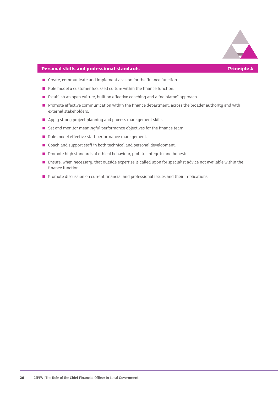

#### **Personal skills and professional standards Principle 4**

- $\blacksquare$  Create, communicate and implement a vision for the finance function.
- Role model a customer focussed culture within the finance function.
- Establish an open culture, built on effective coaching and a "no blame" approach.
- Promote effective communication within the finance department, across the broader authority and with external stakeholders.
- Apply strong project planning and process management skills.
- Set and monitor meaningful performance objectives for the finance team.
- Role model effective staff performance management.
- Coach and support staff in both technical and personal development.
- Promote high standards of ethical behaviour, probity, integrity and honesty.
- Ensure, when necessary, that outside expertise is called upon for specialist advice not available within the finance function.
- **Promote discussion on current financial and professional issues and their implications.**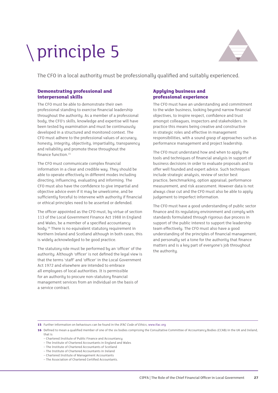### principle 5



The CFO in a local authority must be professionally qualified and suitably experienced.

#### **Demonstrating professional and interpersonal skills**

The CFO must be able to demonstrate their own professional standing to exercise financial leadership throughout the authority. As a member of a professional body, the CFO's skills, knowledge and expertise will have been tested by examination and must be continuously developed in a structured and monitored context. The CFO must adhere to the professional values of accuracy, honesty, integrity, objectivity, impartiality, transparency and reliability and promote these throughout the finance function.15

The CFO must communicate complex financial information in a clear and credible way. They should be able to operate effectively in different modes including directing, influencing, evaluating and informing. The CFO must also have the confidence to give impartial and objective advice even if it may be unwelcome, and be sufficiently forceful to intervene with authority if financial or ethical principles need to be asserted or defended.

The officer appointed as the CFO must, by virtue of section 113 of the Local Government Finance Act 1988 in England and Wales, be a member of a specified accountancy body.16 There is no equivalent statutory requirement in Northern Ireland and Scotland although in both cases, this is widely acknowledged to be good practice.

The statutory role must be performed by an 'officer' of the authority. Although 'officer' is not defined the legal view is that the terms 'staff' and 'officer' in the Local Government Act 1972 and elsewhere are intended to embrace all employees of local authorities. It is permissible for an authority to procure non-statutory financial management services from an individual on the basis of a service contract.

#### **Applying business and professional experience**

The CFO must have an understanding and commitment to the wider business, looking beyond narrow financial objectives, to inspire respect, confidence and trust amongst colleagues, inspectors and stakeholders. In practice this means being creative and constructive in strategic roles and effective in management responsibilities, with a sound grasp of approaches such as performance management and project leadership.

The CFO must understand how and when to apply the tools and techniques of financial analysis in support of business decisions in order to evaluate proposals and to offer well founded and expert advice. Such techniques include strategic analysis, review of sector best practice, benchmarking, option appraisal, performance measurement, and risk assessment. However data is not always clear cut and the CFO must also be able to apply judgement to imperfect information.

The CFO must have a good understanding of public sector finance and its regulatory environment and comply with standards formulated through rigorous due process in support of the public interest to support the leadership team effectively. The CFO must also have a good understanding of the principles of financial management, and personally set a tone for the authority that finance matters and is a key part of everyone's job throughout the authority.

**15** Further information on behaviours can be found in the *IFAC Code of Ethics*, www.ifac.org

**16** Defined to mean a qualified member of one of the six bodies comprising the Consultative Committee of Accountancy Bodies (CCAB) in the UK and Ireland, that is

– Chartered Institute of Public Finance and Accountancy

- The Institute of Chartered Accountants in England and Wales
- The Institute of Chartered Accountants of Scotland

– The Institute of Chartered Accountants in Ireland – Chartered Institute of Management Accountants

– The Association of Chartered Certified Accountants.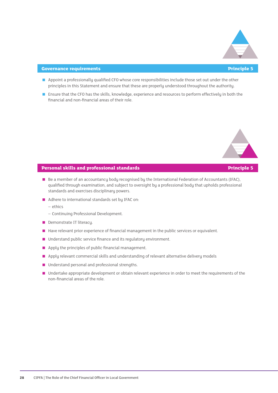

#### **Governance requirements Principle 5**

- Appoint a professionally qualified CFO whose core responsibilities include those set out under the other principles in this Statement and ensure that these are properly understood throughout the authority.
- **Ensure that the CFO has the skills, knowledge, experience and resources to perform effectively in both the** financial and non-financial areas of their role.



- Be a member of an accountancy body recognised by the International Federation of Accountants (IFAC), qualified through examination, and subject to oversight by a professional body that upholds professional standards and exercises disciplinary powers.
- Adhere to international standards set by IFAC on:
	- ethics
	- Continuing Professional Development.
- Demonstrate IT literacy.
- Have relevant prior experience of financial management in the public services or equivalent.
- Understand public service finance and its regulatory environment.
- $\blacksquare$  Apply the principles of public financial management.
- **Apply relevant commercial skills and understanding of relevant alternative delivery models**
- Understand personal and professional strengths.
- Undertake appropriate development or obtain relevant experience in order to meet the requirements of the non-financial areas of the role.

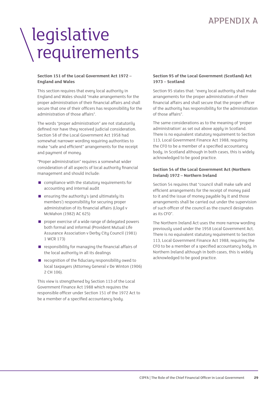### APPENDIX A

### legislative requirements

#### **Section 151 of the Local Government Act 1972 – England and Wales**

This section requires that every local authority in England and Wales should "make arrangements for the proper administration of their financial affairs and shall secure that one of their officers has responsibility for the administration of those affairs".

The words "proper administration" are not statutorily defined nor have they received judicial consideration. Section 58 of the Local Government Act 1958 had somewhat narrower wording requiring authorities to make "safe and efficient" arrangements for the receipt and payment of money.

"Proper administration" requires a somewhat wider consideration of all aspects of local authority financial management and should include:

- $\Box$  compliance with the statutory requirements for accounting and internal audit
- $\blacksquare$  ensuring the authority's (and ultimately its members') responsibility for securing proper administration of its financial affairs (Lloyd v McMahon (1982) AC 625)
- $\Box$  proper exercise of a wide range of delegated powers both formal and informal (Provident Mutual Life Assurance Association v Derby City Council (1981) 1 WCR 173)
- $\blacksquare$  responsibility for managing the financial affairs of the local authority in all its dealings
- $\blacksquare$  recognition of the fiduciary responsibility owed to local taxpayers (Attorney General v De Winton (1906) 2 CH 106).

This view is strengthened by Section 113 of the Local Government Finance Act 1988 which requires the responsible officer under Section 151 of the 1972 Act to be a member of a specified accountancy body.

#### **Section 95 of the Local Government (Scotland) Act 1973 – Scotland**

Section 95 states that: "every local authority shall make arrangements for the proper administration of their financial affairs and shall secure that the proper officer of the authority has responsibility for the administration of those affairs".

The same considerations as to the meaning of 'proper administration' as set out above apply in Scotland. There is no equivalent statutory requirement to Section 113, Local Government Finance Act 1988, requiring the CFO to be a member of a specified accountancy body, in Scotland although in both cases, this is widely acknowledged to be good practice.

#### **Section 54 of the Local Government Act (Northern Ireland) 1972 – Northern Ireland**

Section 54 requires that "council shall make safe and efficient arrangements for the receipt of money paid to it and the issue of money payable by it and those arrangements shall be carried out under the supervision of such officer of the council as the council designates as its CFO".

The Northern Ireland Act uses the more narrow wording previously used under the 1958 Local Government Act. There is no equivalent statutory requirement to Section 113, Local Government Finance Act 1988, requiring the CFO to be a member of a specified accountancy body, in Northern Ireland although in both cases, this is widely acknowledged to be good practice.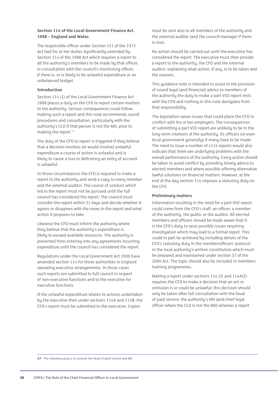#### **Section 114 of the Local Government Finance Act 1988 – England and Wales**

The responsible officer under Section 151 of the 1972 Act had his or her duties significantly extended by Section 114 of the 1988 Act which requires a report to all the authority's members to be made by that officer, in consultation with the council's monitoring officer, if there is, or is likely to be unlawful expenditure or an unbalanced budget.

#### **Introduction**

Section 114 (1) of the Local Government Finance Act 1988 places a duty on the CFO to report certain matters to the authority. Serious consequences could follow making such a report and this note recommends sound procedures and consultation, particularly with the authority's CLO if that person is not the MO, prior to making the report.<sup>17</sup>

The duty of the CFO to report is triggered if they believe that a decision involves (or would involve) unlawful expenditure a course of action is unlawful and is likely to cause a loss or deficiency an entry of account is unlawful.

In those circumstances the CFO is required to make a report to the authority and send a copy to every member and the external auditor. The course of conduct which led to the report must not be pursued until the full council has considered the report. The council must consider the report within 21 days and decide whether it agrees or disagrees with the views in the report and what action it proposes to take.

Likewise the CFO must inform the authority where they believe that the authority's expenditure is likely to exceed available resources. The authority is prevented from entering into any agreements incurring expenditure until the council has considered the report.

Regulations under the Local Government Act 2000 have amended section 114 for those authorities in England operating executive arrangements. In those cases such reports are submitted to full council in respect of non-executive functions and to the executive for executive functions.

If the unlawful expenditure relates to actions undertaken by the executive then under sections 114A and 115B, the CFO's report must be submitted to the executive. Copies

must be sent also to all members of the authority and the external auditor (and the council manager if there is one).

No action should be carried out until the executive has considered the report. The executive must then provide a report to the authority, the CFO and the external auditor, explaining what action, if any, is to be taken and the reasons.

This guidance note is intended to assist in the provision of sound legal (and financial) advice to members of the authority the duty to make a part VIII report rests with the CFO and nothing in this note derogates from that responsibility.

The legislation raises issues that could place the CFO in conflict with his or her employers. The consequences of submitting a part VIII report are unlikely to be in the long-term interests of the authority, its officers (or even local government generally) if many have to be made. The need to issue a number of s114 reports would also indicate that there are underlying problems with the overall performance of the authority. Every action should be taken to avoid conflict by providing timely advice to elected members and where possible offering alternative lawful solutions on financial matters. However, at the end of the day section 114 imposes a statutory duty on the CFO.

#### **Preliminary matters**

Information resulting in the need for a part VIII report could come from the CFO's staff, an officer, a member of the authority, the public or the auditor. All elected members and officers should be made aware that it is the CFO's duty to raise possible issues requiring investigation which may lead to a formal report. This could in part be achieved by including details of the CFO's statutory duty in the member/officers' protocol in the local authority's written constitution which must be prepared and maintained under section 37 of the 2000 Act. The topic should also be included in members' training programmes.

Making a report under sections 114 (2) and 114A(2) requires the CFO to make a decision that an act or omission is or could be unlawful; this decision should only be taken after full consultation with the head of paid service, the authority's MO (and chief legal officer where the CLO is not the MO) whereas a report

17 The statutory duty is to consult the head of paid service and MO.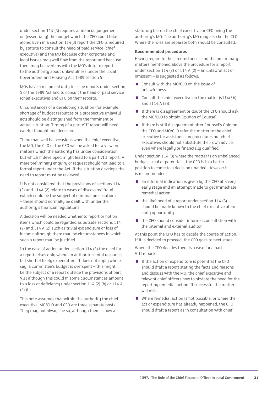under section 114 (3) requires a financial judgement on (essentially) the budget which the CFO could take alone. Even in a section 114(3) report the CFO is required by statute to consult the head of paid service (chief executive) and the MO because other corporate and legal issues may well flow from the report and because there may be overlaps with the MO's duty to report to the authority about unlawfulness under the Local Government and Housing Act 1989 section 5.

MOs have a reciprocal duty to issue reports under section 5 of the 1989 Act and to consult the head of paid service (chief executive) and CFO on their reports.

Circumstances of a developing situation (for example, shortage of budget resources or a prospective unlawful act) should be distinguished from the imminent or actual situation. Timing of a part VIII report will need careful thought and decision.

There may well be occasions when the chief executive, the MO, the CLO or the CFO will be asked for a view on matters which the authority has under consideration but which if developed might lead to a part VIII report. A mere preliminary enquiry or request should not lead to a formal report under the Act. If the situation develops the need to report must be reviewed.

It is not considered that the provisions of sections 114 (2) and 114A (2) relate to cases of discovered fraud (which could be the subject of criminal prosecution) – these should normally be dealt with under the authority's financial regulations.

A decision will be needed whether to report or not on items which could be regarded as outside sections 114 (2) and 114 A (2) such as trivial expenditure or loss of income although there may be circumstances in which such a report may be justified.

In the case of action under section 114 (3) the need for a report arises only where an authority's total resources fall short of likely expenditure. It does not apply where, say, a committee's budget is overspent – this might be the subject of a report outside the provisions of part VIII although this could in some circumstances amount to a loss or deficiency under section 114 (2) (b) or 114 A (2) (b).

This note assumes that within the authority the chief executive, MO/CLO and CFO are three separate posts. They may not always be so, although there is now a

statutory bar on the chief executive or CFO being the authority's MO. The authority's MO may also be the CLO. Where the roles are separate both should be consulted.

#### **Recommended procedures**

Having regard to the circumstances and the preliminary matters mentioned above the procedure for a report under section 114 (2) or 114 A (2) – an unlawful act or omission – is suggested as follows:

- Consult with the MO/CLO on the issue of unlawfulness.
- Consult the chief executive on the matter  $(s114(3A))$ and s114 A (3)).
- $\blacksquare$  If there is disagreement or doubt the CFO should ask the MO/CLO to obtain Opinion of Counsel.
- If there is still disagreement after Counsel's Opinion, the CFO and MO/CLO refer the matter to the chief executive for assistance on procedures but chief executives should not substitute their own advice, even where legally or financially qualified.

Under section 114 (3) where the matter is an unbalanced budget – real or potential – the CFO is in a better position to come to a decision unaided. However it is recommended:

- $\blacksquare$  an informal indication is given by the CFO at a very early stage and an attempt made to get immediate remedial action
- $\blacksquare$  the likelihood of a report under section 114 (3) should be made known to the chief executive at an early opportunity
- $\blacksquare$  the CFO should consider informal consultation with the internal and external auditor

At this point the CFO has to decide the course of action. If it is decided to proceed, the CFO goes to next stage.

Where the CFO decides there is a case for a part VIII report:

- $\blacksquare$  If the action or expenditure is potential the CFO should draft a report stating the facts and reasons and discuss with the MO, the chief executive and relevant chief officers how to obviate the need for the report by remedial action. If successful the matter will rest.
- Where remedial action is not possible, or where the act or expenditure has already happened, the CFO should draft a report as in consultation with chief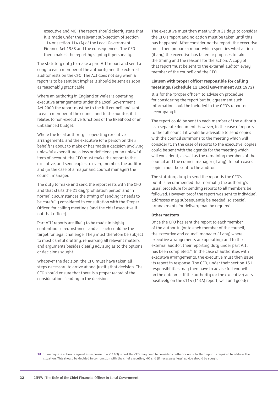executive and MO. The report should clearly state that it is made under the relevant sub-section of section 114 or section 114 (A) of the Local Government Finance Act 1988 and the consequences. The CFO then 'makes' the report by signing it personally.

The statutory duty to make a part VIII report and send a copy to each member of the authority and the external auditor rests on the CFO. The Act does not say when a report is to be sent but implies it should be sent as soon as reasonably practicable.

Where an authority in England or Wales is operating executive arrangements under the Local Government Act 2000 the report must be to the full council and sent to each member of the council and to the auditor, if it relates to non-executive functions or the likelihood of an unbalanced budget.

Where the local authority is operating executive arrangements, and the executive (or a person on their behalf) is about to make or has made a decision involving unlawful expenditure, a loss or deficiency or an unlawful item of account, the CFO must make the report to the executive, and send copies to every member, the auditor and (in the case of a mayor and council manager) the council manager.

The duty to make and send the report rests with the CFO and that starts the 21 day 'prohibition period' and in normal circumstances the timing of sending it needs to be carefully considered in consultation with the 'Proper Officer' for calling meetings (and the chief executive if not that officer).

Part VIII reports are likely to be made in highly contentious circumstances and as such could be the target for legal challenge. They must therefore be subject to most careful drafting, rehearsing all relevant matters and arguments besides clearly advising as to the options or decisions sought.

Whatever the decision, the CFO must have taken all steps necessary to arrive at and justify that decision. The CFO should ensure that there is a proper record of the considerations leading to the decision.

The executive must then meet within 21 days to consider the CFO's report and no action must be taken until this has happened. After considering the report, the executive must then prepare a report which specifies what action (if any) the executive has taken or proposes to take, the timing and the reasons for the action. A copy of that report must be sent to the external auditor, every member of the council and the CFO.

#### **Liaison with proper officer responsible for calling meetings: (Schedule 12 Local Government Act 1972)**

It is for the "proper officer" to advise on procedure for considering the report but by agreement such information could be included in the CFO's report or accompany it.

The report could be sent to each member of the authority as a separate document. However, in the case of reports to the full council it would be advisable to send copies with the council summons to the meeting which will consider it. In the case of reports to the executive, copies could be sent with the agenda for the meeting which will consider it, as well as the remaining members of the council and the council manager (if any). In both cases copies must be sent to the auditor.

The statutory duty to send the report is the CFO's but it is recommended that normally the authority's usual procedure for sending reports to all members be followed. However, proof the report was sent to individual addresses may subsequently be needed, so special arrangements for delivery may be required.

#### **Other matters**

Once the CFO has sent the report to each member of the authority (or to each member of the council, the executive and council manager (if any) where executive arrangements are operating) and to the external auditor, their reporting duty under part VIII has been completed.18 In the case of authorities with executive arrangements, the executive must then issue its report in response. The CFO, under their section 151 responsibilities may then have to advise full council on the outcome. If the authority (or the executive) acts positively on the s114 (114A) report, well and good; if

**18** If inadequate action is agreed in response to a s114(3) report the CFO may need to consider whether or not a further report is required to address the situation. This should be decided in conjunction with the chief executive, MO and (if necessary) legal advice should be sought.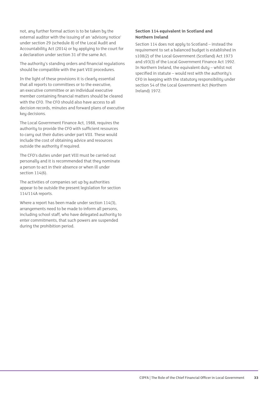not, any further formal action is to be taken by the external auditor with the issuing of an 'advisory notice' under section 29 (schedule 8) of the Local Audit and Accountability Act (2014) or by applying to the court for a declaration under section 31 of the same Act.

The authority's standing orders and financial regulations should be compatible with the part VIII procedures.

In the light of these provisions it is clearly essential that all reports to committees or to the executive, an executive committee or an individual executive member containing financial matters should be cleared with the CFO. The CFO should also have access to all decision records, minutes and forward plans of executive key decisions.

The Local Government Finance Act, 1988, requires the authority to provide the CFO with sufficient resources to carry out their duties under part VIII. These would include the cost of obtaining advice and resources outside the authority if required.

The CFO's duties under part VIII must be carried out personally and it is recommended that they nominate a person to act in their absence or when ill under section 114(6).

The activities of companies set up by authorities appear to be outside the present legislation for section 114/114A reports.

Where a report has been made under section 114(3), arrangements need to be made to inform all persons, including school staff, who have delegated authority to enter commitments, that such powers are suspended during the prohibition period.

#### **Section 114 equivalent in Scotland and Northern Ireland**

Section 114 does not apply to Scotland – instead the requirement to set a balanced budget is established in s108(2) of the Local Government (Scotland) Act 1973 and s93(3) of the Local Government Finance Act 1992. In Northern Ireland, the equivalent duty – whilst not specified in statute – would rest with the authority's CFO in keeping with the statutory responsibility under section 54 of the Local Government Act (Northern Ireland) 1972.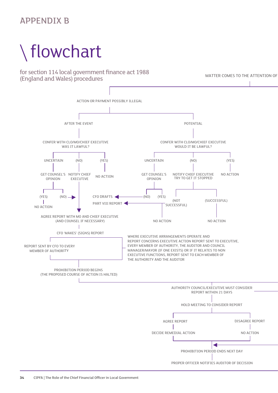### APPENDIX B

# **Flow chart for Section 114 Local Government**  flowchart

**Finance Act 1988 (England and Wales) Procedures** for section 114 local government finance act 1988 (England and Wales) procedures

MATTER COMES TO THE ATTENTION OF

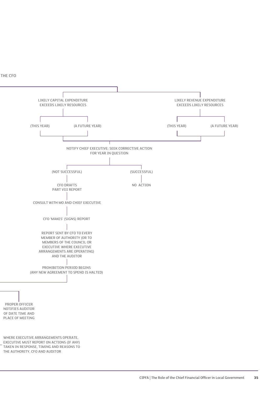